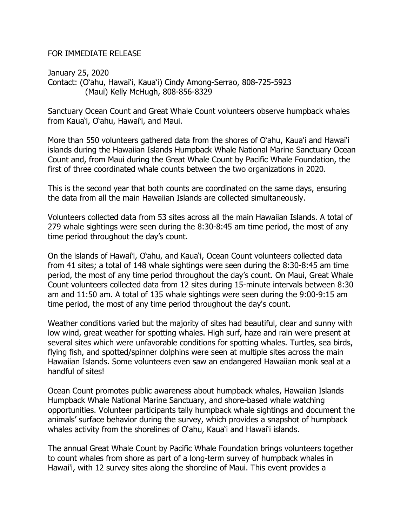## FOR IMMEDIATE RELEASE

 Contact: (O'ahu, Hawai'i, Kaua'i) Cindy Among-Serrao, 808-725-5923 January 25, 2020 (Maui) Kelly McHugh, 808-856-8329

 Sanctuary Ocean Count and Great Whale Count volunteers observe humpback whales from Kaua'i, O'ahu, Hawai'i, and Maui.

 More than 550 volunteers gathered data from the shores of O'ahu, Kaua'i and Hawai'i islands during the Hawaiian Islands Humpback Whale National Marine Sanctuary Ocean Count and, from Maui during the Great Whale Count by Pacific Whale Foundation, the first of three coordinated whale counts between the two organizations in 2020.

 This is the second year that both counts are coordinated on the same days, ensuring the data from all the main Hawaiian Islands are collected simultaneously.

 Volunteers collected data from 53 sites across all the main Hawaiian Islands. A total of 279 whale sightings were seen during the 8:30-8:45 am time period, the most of any time period throughout the day's count.

 On the islands of Hawai'i, O'ahu, and Kaua'i, Ocean Count volunteers collected data from 41 sites; a total of 148 whale sightings were seen during the 8:30-8:45 am time period, the most of any time period throughout the day's count. On Maui, Great Whale Count volunteers collected data from 12 sites during 15-minute intervals between 8:30 am and 11:50 am. A total of 135 whale sightings were seen during the 9:00-9:15 am time period, the most of any time period throughout the day's count.

 Weather conditions varied but the majority of sites had beautiful, clear and sunny with low wind, great weather for spotting whales. High surf, haze and rain were present at several sites which were unfavorable conditions for spotting whales. Turtles, sea birds, flying fish, and spotted/spinner dolphins were seen at multiple sites across the main Hawaiian Islands. Some volunteers even saw an endangered Hawaiian monk seal at a handful of sites!

 Ocean Count promotes public awareness about humpback whales, Hawaiian Islands Humpback Whale National Marine Sanctuary, and shore-based whale watching opportunities. Volunteer participants tally humpback whale sightings and document the animals' surface behavior during the survey, which provides a snapshot of humpback whales activity from the shorelines of O'ahu, Kaua'i and Hawai'i islands.

 The annual Great Whale Count by Pacific Whale Foundation brings volunteers together to count whales from shore as part of a long-term survey of humpback whales in Hawai'i, with 12 survey sites along the shoreline of Maui. This event provides a